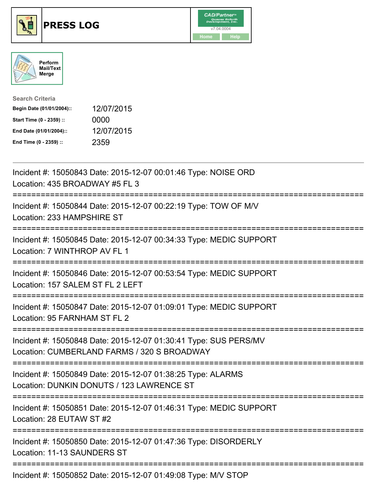





| <b>Search Criteria</b>    |            |
|---------------------------|------------|
| Begin Date (01/01/2004):: | 12/07/2015 |
| Start Time (0 - 2359) ::  | 0000       |
| End Date (01/01/2004)::   | 12/07/2015 |
| End Time (0 - 2359) ::    | 2359       |

| Incident #: 15050843 Date: 2015-12-07 00:01:46 Type: NOISE ORD<br>Location: 435 BROADWAY #5 FL 3                                             |
|----------------------------------------------------------------------------------------------------------------------------------------------|
| Incident #: 15050844 Date: 2015-12-07 00:22:19 Type: TOW OF M/V<br>Location: 233 HAMPSHIRE ST                                                |
| Incident #: 15050845 Date: 2015-12-07 00:34:33 Type: MEDIC SUPPORT<br>Location: 7 WINTHROP AV FL 1                                           |
| Incident #: 15050846 Date: 2015-12-07 00:53:54 Type: MEDIC SUPPORT<br>Location: 157 SALEM ST FL 2 LEFT                                       |
| Incident #: 15050847 Date: 2015-12-07 01:09:01 Type: MEDIC SUPPORT<br>Location: 95 FARNHAM ST FL 2<br>;=====================                 |
| Incident #: 15050848 Date: 2015-12-07 01:30:41 Type: SUS PERS/MV<br>Location: CUMBERLAND FARMS / 320 S BROADWAY                              |
| Incident #: 15050849 Date: 2015-12-07 01:38:25 Type: ALARMS<br>Location: DUNKIN DONUTS / 123 LAWRENCE ST<br>================================ |
| Incident #: 15050851 Date: 2015-12-07 01:46:31 Type: MEDIC SUPPORT<br>Location: 28 EUTAW ST #2                                               |
| Incident #: 15050850 Date: 2015-12-07 01:47:36 Type: DISORDERLY<br>Location: 11-13 SAUNDERS ST                                               |
| Incident #: 15050852 Date: 2015-12-07 01:49:08 Type: M/V STOP                                                                                |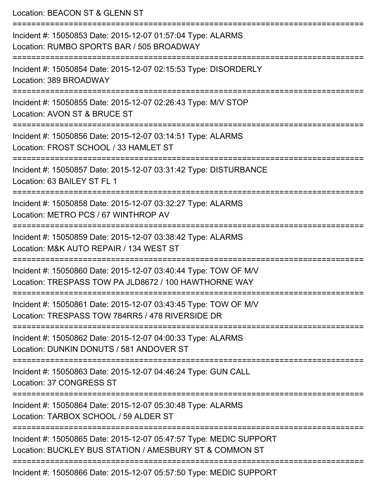Location: BEACON ST & GLENN ST =========================================================================== Incident #: 15050853 Date: 2015-12-07 01:57:04 Type: ALARMS Location: RUMBO SPORTS BAR / 505 BROADWAY =========================================================================== Incident #: 15050854 Date: 2015-12-07 02:15:53 Type: DISORDERLY Location: 389 BROADWAY =========================================================================== Incident #: 15050855 Date: 2015-12-07 02:26:43 Type: M/V STOP Location: AVON ST & BRUCE ST =========================================================================== Incident #: 15050856 Date: 2015-12-07 03:14:51 Type: ALARMS Location: FROST SCHOOL / 33 HAMLET ST =========================================================================== Incident #: 15050857 Date: 2015-12-07 03:31:42 Type: DISTURBANCE Location: 63 BAILEY ST FL 1 =========================================================================== Incident #: 15050858 Date: 2015-12-07 03:32:27 Type: ALARMS Location: METRO PCS / 67 WINTHROP AV =========================================================================== Incident #: 15050859 Date: 2015-12-07 03:38:42 Type: ALARMS Location: M&K AUTO REPAIR / 134 WEST ST =========================================================================== Incident #: 15050860 Date: 2015-12-07 03:40:44 Type: TOW OF M/V Location: TRESPASS TOW PA JLD8672 / 100 HAWTHORNE WAY =========================================================================== Incident #: 15050861 Date: 2015-12-07 03:43:45 Type: TOW OF M/V Location: TRESPASS TOW 784RR5 / 478 RIVERSIDE DR =========================================================================== Incident #: 15050862 Date: 2015-12-07 04:00:33 Type: ALARMS Location: DUNKIN DONUTS / 581 ANDOVER ST =========================================================================== Incident #: 15050863 Date: 2015-12-07 04:46:24 Type: GUN CALL Location: 37 CONGRESS ST =========================================================================== Incident #: 15050864 Date: 2015-12-07 05:30:48 Type: ALARMS Location: TARBOX SCHOOL / 59 ALDER ST =========================================================================== Incident #: 15050865 Date: 2015-12-07 05:47:57 Type: MEDIC SUPPORT Location: BUCKLEY BUS STATION / AMESBURY ST & COMMON ST =========================================================================== Incident #: 15050866 Date: 2015-12-07 05:57:50 Type: MEDIC SUPPORT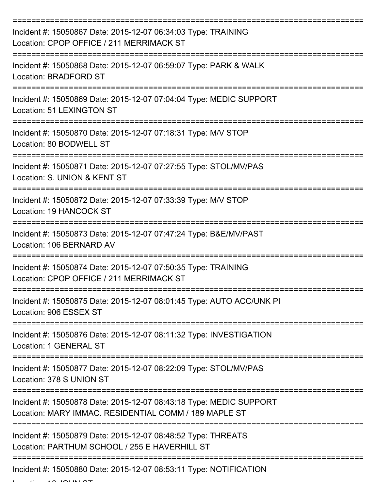| Incident #: 15050867 Date: 2015-12-07 06:34:03 Type: TRAINING<br>Location: CPOP OFFICE / 211 MERRIMACK ST                   |
|-----------------------------------------------------------------------------------------------------------------------------|
| Incident #: 15050868 Date: 2015-12-07 06:59:07 Type: PARK & WALK<br><b>Location: BRADFORD ST</b>                            |
| Incident #: 15050869 Date: 2015-12-07 07:04:04 Type: MEDIC SUPPORT<br>Location: 51 LEXINGTON ST                             |
| Incident #: 15050870 Date: 2015-12-07 07:18:31 Type: M/V STOP<br>Location: 80 BODWELL ST                                    |
| Incident #: 15050871 Date: 2015-12-07 07:27:55 Type: STOL/MV/PAS<br>Location: S. UNION & KENT ST                            |
| Incident #: 15050872 Date: 2015-12-07 07:33:39 Type: M/V STOP<br>Location: 19 HANCOCK ST                                    |
| Incident #: 15050873 Date: 2015-12-07 07:47:24 Type: B&E/MV/PAST<br>Location: 106 BERNARD AV                                |
| Incident #: 15050874 Date: 2015-12-07 07:50:35 Type: TRAINING<br>Location: CPOP OFFICE / 211 MERRIMACK ST                   |
| Incident #: 15050875 Date: 2015-12-07 08:01:45 Type: AUTO ACC/UNK PI<br>Location: 906 ESSEX ST                              |
| Incident #: 15050876 Date: 2015-12-07 08:11:32 Type: INVESTIGATION<br>Location: 1 GENERAL ST                                |
| Incident #: 15050877 Date: 2015-12-07 08:22:09 Type: STOL/MV/PAS<br>Location: 378 S UNION ST                                |
| Incident #: 15050878 Date: 2015-12-07 08:43:18 Type: MEDIC SUPPORT<br>Location: MARY IMMAC. RESIDENTIAL COMM / 189 MAPLE ST |
| Incident #: 15050879 Date: 2015-12-07 08:48:52 Type: THREATS<br>Location: PARTHUM SCHOOL / 255 E HAVERHILL ST               |
| Incident #: 15050880 Date: 2015-12-07 08:53:11 Type: NOTIFICATION                                                           |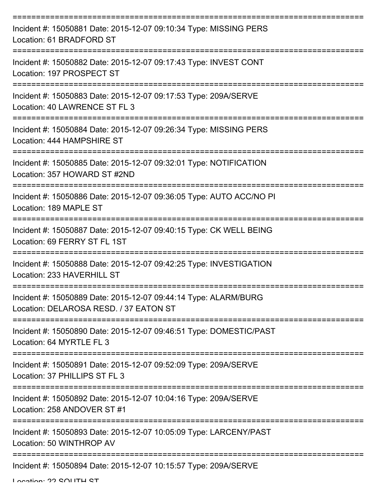| Incident #: 15050881 Date: 2015-12-07 09:10:34 Type: MISSING PERS<br>Location: 61 BRADFORD ST                 |
|---------------------------------------------------------------------------------------------------------------|
| Incident #: 15050882 Date: 2015-12-07 09:17:43 Type: INVEST CONT<br>Location: 197 PROSPECT ST                 |
| Incident #: 15050883 Date: 2015-12-07 09:17:53 Type: 209A/SERVE<br>Location: 40 LAWRENCE ST FL 3              |
| Incident #: 15050884 Date: 2015-12-07 09:26:34 Type: MISSING PERS<br>Location: 444 HAMPSHIRE ST               |
| Incident #: 15050885 Date: 2015-12-07 09:32:01 Type: NOTIFICATION<br>Location: 357 HOWARD ST #2ND             |
| Incident #: 15050886 Date: 2015-12-07 09:36:05 Type: AUTO ACC/NO PI<br>Location: 189 MAPLE ST                 |
| Incident #: 15050887 Date: 2015-12-07 09:40:15 Type: CK WELL BEING<br>Location: 69 FERRY ST FL 1ST            |
| =========<br>Incident #: 15050888 Date: 2015-12-07 09:42:25 Type: INVESTIGATION<br>Location: 233 HAVERHILL ST |
| Incident #: 15050889 Date: 2015-12-07 09:44:14 Type: ALARM/BURG<br>Location: DELAROSA RESD. / 37 EATON ST     |
| Incident #: 15050890 Date: 2015-12-07 09:46:51 Type: DOMESTIC/PAST<br>Location: 64 MYRTLE FL 3                |
| Incident #: 15050891 Date: 2015-12-07 09:52:09 Type: 209A/SERVE<br>Location: 37 PHILLIPS ST FL 3              |
| Incident #: 15050892 Date: 2015-12-07 10:04:16 Type: 209A/SERVE<br>Location: 258 ANDOVER ST #1                |
| Incident #: 15050893 Date: 2015-12-07 10:05:09 Type: LARCENY/PAST<br>Location: 50 WINTHROP AV                 |
| Incident #: 15050894 Date: 2015-12-07 10:15:57 Type: 209A/SERVE                                               |

Location: 22 SOUTH ST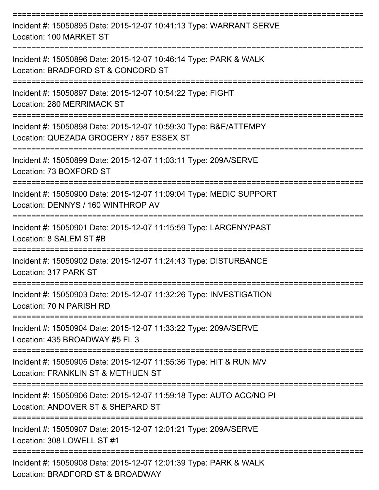| Incident #: 15050895 Date: 2015-12-07 10:41:13 Type: WARRANT SERVE<br>Location: 100 MARKET ST                                                           |
|---------------------------------------------------------------------------------------------------------------------------------------------------------|
| Incident #: 15050896 Date: 2015-12-07 10:46:14 Type: PARK & WALK<br>Location: BRADFORD ST & CONCORD ST                                                  |
| Incident #: 15050897 Date: 2015-12-07 10:54:22 Type: FIGHT<br><b>Location: 280 MERRIMACK ST</b>                                                         |
| Incident #: 15050898 Date: 2015-12-07 10:59:30 Type: B&E/ATTEMPY<br>Location: QUEZADA GROCERY / 857 ESSEX ST                                            |
| Incident #: 15050899 Date: 2015-12-07 11:03:11 Type: 209A/SERVE<br>Location: 73 BOXFORD ST                                                              |
| Incident #: 15050900 Date: 2015-12-07 11:09:04 Type: MEDIC SUPPORT<br>Location: DENNYS / 160 WINTHROP AV                                                |
| Incident #: 15050901 Date: 2015-12-07 11:15:59 Type: LARCENY/PAST<br>Location: 8 SALEM ST #B                                                            |
| =====================<br>------------------------------<br>Incident #: 15050902 Date: 2015-12-07 11:24:43 Type: DISTURBANCE<br>Location: 317 PARK ST    |
| Incident #: 15050903 Date: 2015-12-07 11:32:26 Type: INVESTIGATION<br>Location: 70 N PARISH RD                                                          |
| ---------------------<br>-------------------------<br>Incident #: 15050904 Date: 2015-12-07 11:33:22 Type: 209A/SERVE<br>Location: 435 BROADWAY #5 FL 3 |
| --------------------------------------<br>Incident #: 15050905 Date: 2015-12-07 11:55:36 Type: HIT & RUN M/V<br>Location: FRANKLIN ST & METHUEN ST      |
| Incident #: 15050906 Date: 2015-12-07 11:59:18 Type: AUTO ACC/NO PI<br>Location: ANDOVER ST & SHEPARD ST                                                |
| Incident #: 15050907 Date: 2015-12-07 12:01:21 Type: 209A/SERVE<br>Location: 308 LOWELL ST #1                                                           |
| Incident #: 15050908 Date: 2015-12-07 12:01:39 Type: PARK & WALK<br>Location: BRADFORD ST & BROADWAY                                                    |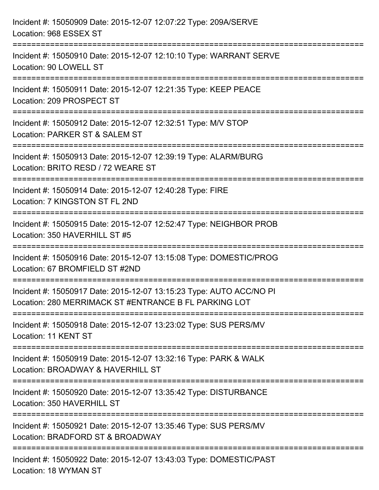| Incident #: 15050909 Date: 2015-12-07 12:07:22 Type: 209A/SERVE<br>Location: 968 ESSEX ST                                             |
|---------------------------------------------------------------------------------------------------------------------------------------|
| :======================<br>Incident #: 15050910 Date: 2015-12-07 12:10:10 Type: WARRANT SERVE<br>Location: 90 LOWELL ST               |
| Incident #: 15050911 Date: 2015-12-07 12:21:35 Type: KEEP PEACE<br>Location: 209 PROSPECT ST<br>:=====================                |
| :=================================<br>Incident #: 15050912 Date: 2015-12-07 12:32:51 Type: M/V STOP<br>Location: PARKER ST & SALEM ST |
| Incident #: 15050913 Date: 2015-12-07 12:39:19 Type: ALARM/BURG<br>Location: BRITO RESD / 72 WEARE ST<br>===================          |
| Incident #: 15050914 Date: 2015-12-07 12:40:28 Type: FIRE<br>Location: 7 KINGSTON ST FL 2ND                                           |
| Incident #: 15050915 Date: 2015-12-07 12:52:47 Type: NEIGHBOR PROB<br>Location: 350 HAVERHILL ST #5                                   |
| Incident #: 15050916 Date: 2015-12-07 13:15:08 Type: DOMESTIC/PROG<br>Location: 67 BROMFIELD ST #2ND                                  |
| Incident #: 15050917 Date: 2015-12-07 13:15:23 Type: AUTO ACC/NO PI<br>Location: 280 MERRIMACK ST #ENTRANCE B FL PARKING LOT          |
| Incident #: 15050918 Date: 2015-12-07 13:23:02 Type: SUS PERS/MV<br>Location: 11 KENT ST                                              |
| Incident #: 15050919 Date: 2015-12-07 13:32:16 Type: PARK & WALK<br>Location: BROADWAY & HAVERHILL ST                                 |
| Incident #: 15050920 Date: 2015-12-07 13:35:42 Type: DISTURBANCE<br>Location: 350 HAVERHILL ST                                        |
| Incident #: 15050921 Date: 2015-12-07 13:35:46 Type: SUS PERS/MV<br>Location: BRADFORD ST & BROADWAY                                  |
| Incident #: 15050922 Date: 2015-12-07 13:43:03 Type: DOMESTIC/PAST<br>Location: 18 WYMAN ST                                           |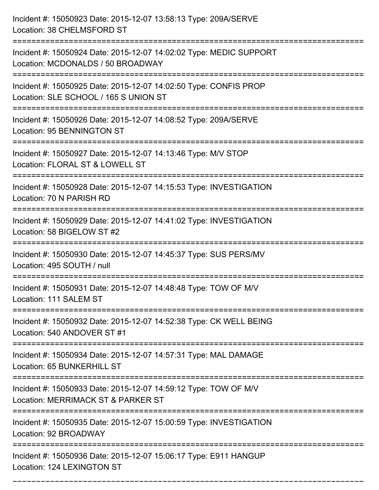| Incident #: 15050923 Date: 2015-12-07 13:58:13 Type: 209A/SERVE<br>Location: 38 CHELMSFORD ST                            |
|--------------------------------------------------------------------------------------------------------------------------|
| Incident #: 15050924 Date: 2015-12-07 14:02:02 Type: MEDIC SUPPORT<br>Location: MCDONALDS / 50 BROADWAY                  |
| Incident #: 15050925 Date: 2015-12-07 14:02:50 Type: CONFIS PROP<br>Location: SLE SCHOOL / 165 S UNION ST                |
| Incident #: 15050926 Date: 2015-12-07 14:08:52 Type: 209A/SERVE<br><b>Location: 95 BENNINGTON ST</b>                     |
| Incident #: 15050927 Date: 2015-12-07 14:13:46 Type: M/V STOP<br>Location: FLORAL ST & LOWELL ST<br>===================  |
| Incident #: 15050928 Date: 2015-12-07 14:15:53 Type: INVESTIGATION<br>Location: 70 N PARISH RD                           |
| Incident #: 15050929 Date: 2015-12-07 14:41:02 Type: INVESTIGATION<br>Location: 58 BIGELOW ST #2                         |
| Incident #: 15050930 Date: 2015-12-07 14:45:37 Type: SUS PERS/MV<br>Location: 495 SOUTH / null                           |
| Incident #: 15050931 Date: 2015-12-07 14:48:48 Type: TOW OF M/V<br>Location: 111 SALEM ST                                |
| :==================<br>Incident #: 15050932 Date: 2015-12-07 14:52:38 Type: CK WELL BEING<br>Location: 540 ANDOVER ST #1 |
| Incident #: 15050934 Date: 2015-12-07 14:57:31 Type: MAL DAMAGE<br>Location: 65 BUNKERHILL ST                            |
| Incident #: 15050933 Date: 2015-12-07 14:59:12 Type: TOW OF M/V<br>Location: MERRIMACK ST & PARKER ST                    |
| Incident #: 15050935 Date: 2015-12-07 15:00:59 Type: INVESTIGATION<br>Location: 92 BROADWAY                              |
| Incident #: 15050936 Date: 2015-12-07 15:06:17 Type: E911 HANGUP<br>Location: 124 LEXINGTON ST                           |

===========================================================================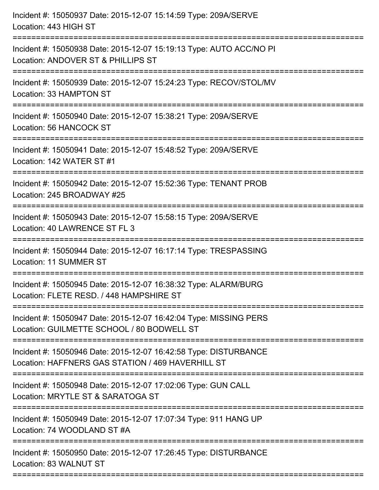| Incident #: 15050937 Date: 2015-12-07 15:14:59 Type: 209A/SERVE<br>Location: 443 HIGH ST                                 |
|--------------------------------------------------------------------------------------------------------------------------|
| Incident #: 15050938 Date: 2015-12-07 15:19:13 Type: AUTO ACC/NO PI<br>Location: ANDOVER ST & PHILLIPS ST                |
| Incident #: 15050939 Date: 2015-12-07 15:24:23 Type: RECOV/STOL/MV<br>Location: 33 HAMPTON ST<br>:====================== |
| Incident #: 15050940 Date: 2015-12-07 15:38:21 Type: 209A/SERVE<br>Location: 56 HANCOCK ST                               |
| Incident #: 15050941 Date: 2015-12-07 15:48:52 Type: 209A/SERVE<br>Location: 142 WATER ST #1                             |
| Incident #: 15050942 Date: 2015-12-07 15:52:36 Type: TENANT PROB<br>Location: 245 BROADWAY #25                           |
| Incident #: 15050943 Date: 2015-12-07 15:58:15 Type: 209A/SERVE<br>Location: 40 LAWRENCE ST FL 3                         |
| Incident #: 15050944 Date: 2015-12-07 16:17:14 Type: TRESPASSING<br>Location: 11 SUMMER ST                               |
| Incident #: 15050945 Date: 2015-12-07 16:38:32 Type: ALARM/BURG<br>Location: FLETE RESD, / 448 HAMPSHIRE ST              |
| Incident #: 15050947 Date: 2015-12-07 16:42:04 Type: MISSING PERS<br>Location: GUILMETTE SCHOOL / 80 BODWELL ST          |
| Incident #: 15050946 Date: 2015-12-07 16:42:58 Type: DISTURBANCE<br>Location: HAFFNERS GAS STATION / 469 HAVERHILL ST    |
| Incident #: 15050948 Date: 2015-12-07 17:02:06 Type: GUN CALL<br>Location: MRYTLE ST & SARATOGA ST                       |
| Incident #: 15050949 Date: 2015-12-07 17:07:34 Type: 911 HANG UP<br>Location: 74 WOODLAND ST #A                          |
| Incident #: 15050950 Date: 2015-12-07 17:26:45 Type: DISTURBANCE<br>Location: 83 WALNUT ST                               |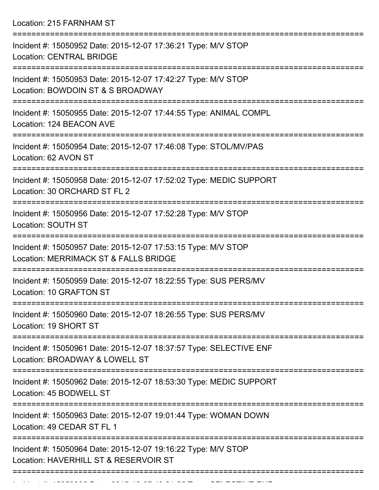Location: 215 FARNHAM ST

| Incident #: 15050952 Date: 2015-12-07 17:36:21 Type: M/V STOP<br><b>Location: CENTRAL BRIDGE</b>                             |
|------------------------------------------------------------------------------------------------------------------------------|
| Incident #: 15050953 Date: 2015-12-07 17:42:27 Type: M/V STOP<br>Location: BOWDOIN ST & S BROADWAY                           |
| Incident #: 15050955 Date: 2015-12-07 17:44:55 Type: ANIMAL COMPL<br>Location: 124 BEACON AVE                                |
| Incident #: 15050954 Date: 2015-12-07 17:46:08 Type: STOL/MV/PAS<br>Location: 62 AVON ST                                     |
| Incident #: 15050958 Date: 2015-12-07 17:52:02 Type: MEDIC SUPPORT<br>Location: 30 ORCHARD ST FL 2                           |
| Incident #: 15050956 Date: 2015-12-07 17:52:28 Type: M/V STOP<br>Location: SOUTH ST                                          |
| Incident #: 15050957 Date: 2015-12-07 17:53:15 Type: M/V STOP<br>Location: MERRIMACK ST & FALLS BRIDGE                       |
| Incident #: 15050959 Date: 2015-12-07 18:22:55 Type: SUS PERS/MV<br>Location: 10 GRAFTON ST                                  |
| Incident #: 15050960 Date: 2015-12-07 18:26:55 Type: SUS PERS/MV<br>Location: 19 SHORT ST                                    |
| :===================<br>Incident #: 15050961 Date: 2015-12-07 18:37:57 Type: SELECTIVE ENF<br>Location: BROADWAY & LOWELL ST |
| Incident #: 15050962 Date: 2015-12-07 18:53:30 Type: MEDIC SUPPORT<br>Location: 45 BODWELL ST                                |
| Incident #: 15050963 Date: 2015-12-07 19:01:44 Type: WOMAN DOWN<br>Location: 49 CEDAR ST FL 1                                |
| Incident #: 15050964 Date: 2015-12-07 19:16:22 Type: M/V STOP<br>Location: HAVERHILL ST & RESERVOIR ST                       |
|                                                                                                                              |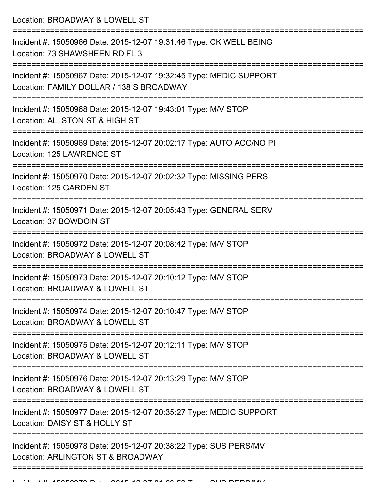Location: BROADWAY & LOWELL ST

| Incident #: 15050966 Date: 2015-12-07 19:31:46 Type: CK WELL BEING<br>Location: 73 SHAWSHEEN RD FL 3           |
|----------------------------------------------------------------------------------------------------------------|
| Incident #: 15050967 Date: 2015-12-07 19:32:45 Type: MEDIC SUPPORT<br>Location: FAMILY DOLLAR / 138 S BROADWAY |
| Incident #: 15050968 Date: 2015-12-07 19:43:01 Type: M/V STOP<br>Location: ALLSTON ST & HIGH ST                |
| Incident #: 15050969 Date: 2015-12-07 20:02:17 Type: AUTO ACC/NO PI<br>Location: 125 LAWRENCE ST               |
| Incident #: 15050970 Date: 2015-12-07 20:02:32 Type: MISSING PERS<br>Location: 125 GARDEN ST                   |
| Incident #: 15050971 Date: 2015-12-07 20:05:43 Type: GENERAL SERV<br>Location: 37 BOWDOIN ST                   |
| Incident #: 15050972 Date: 2015-12-07 20:08:42 Type: M/V STOP<br>Location: BROADWAY & LOWELL ST                |
| Incident #: 15050973 Date: 2015-12-07 20:10:12 Type: M/V STOP<br>Location: BROADWAY & LOWELL ST                |
| Incident #: 15050974 Date: 2015-12-07 20:10:47 Type: M/V STOP<br>Location: BROADWAY & LOWELL ST                |
| Incident #: 15050975 Date: 2015-12-07 20:12:11 Type: M/V STOP<br>Location: BROADWAY & LOWELL ST                |
| Incident #: 15050976 Date: 2015-12-07 20:13:29 Type: M/V STOP<br>Location: BROADWAY & LOWELL ST                |
| Incident #: 15050977 Date: 2015-12-07 20:35:27 Type: MEDIC SUPPORT<br>Location: DAISY ST & HOLLY ST            |
| Incident #: 15050978 Date: 2015-12-07 20:38:22 Type: SUS PERS/MV<br>Location: ARLINGTON ST & BROADWAY          |
|                                                                                                                |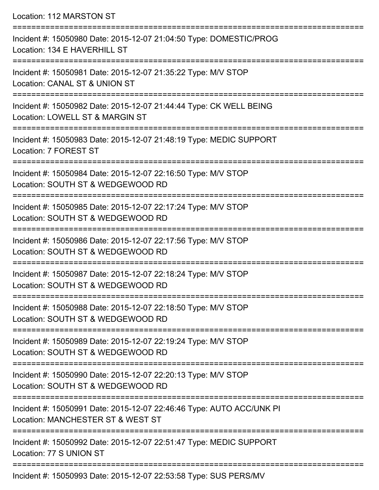Location: 112 MARSTON ST =========================================================================== Incident #: 15050980 Date: 2015-12-07 21:04:50 Type: DOMESTIC/PROG Location: 134 E HAVERHILL ST =========================================================================== Incident #: 15050981 Date: 2015-12-07 21:35:22 Type: M/V STOP Location: CANAL ST & UNION ST =========================================================================== Incident #: 15050982 Date: 2015-12-07 21:44:44 Type: CK WELL BEING Location: LOWELL ST & MARGIN ST =========================================================================== Incident #: 15050983 Date: 2015-12-07 21:48:19 Type: MEDIC SUPPORT Location: 7 FOREST ST =========================================================================== Incident #: 15050984 Date: 2015-12-07 22:16:50 Type: M/V STOP Location: SOUTH ST & WEDGEWOOD RD =========================================================================== Incident #: 15050985 Date: 2015-12-07 22:17:24 Type: M/V STOP Location: SOUTH ST & WEDGEWOOD RD =========================================================================== Incident #: 15050986 Date: 2015-12-07 22:17:56 Type: M/V STOP Location: SOUTH ST & WEDGEWOOD RD =========================================================================== Incident #: 15050987 Date: 2015-12-07 22:18:24 Type: M/V STOP Location: SOUTH ST & WEDGEWOOD RD =========================================================================== Incident #: 15050988 Date: 2015-12-07 22:18:50 Type: M/V STOP Location: SOUTH ST & WEDGEWOOD RD =========================================================================== Incident #: 15050989 Date: 2015-12-07 22:19:24 Type: M/V STOP Location: SOUTH ST & WEDGEWOOD RD =========================================================================== Incident #: 15050990 Date: 2015-12-07 22:20:13 Type: M/V STOP Location: SOUTH ST & WEDGEWOOD RD =========================================================================== Incident #: 15050991 Date: 2015-12-07 22:46:46 Type: AUTO ACC/UNK PI Location: MANCHESTER ST & WEST ST =========================================================================== Incident #: 15050992 Date: 2015-12-07 22:51:47 Type: MEDIC SUPPORT Location: 77 S UNION ST ===========================================================================

Incident #: 15050993 Date: 2015-12-07 22:53:58 Type: SUS PERS/MV